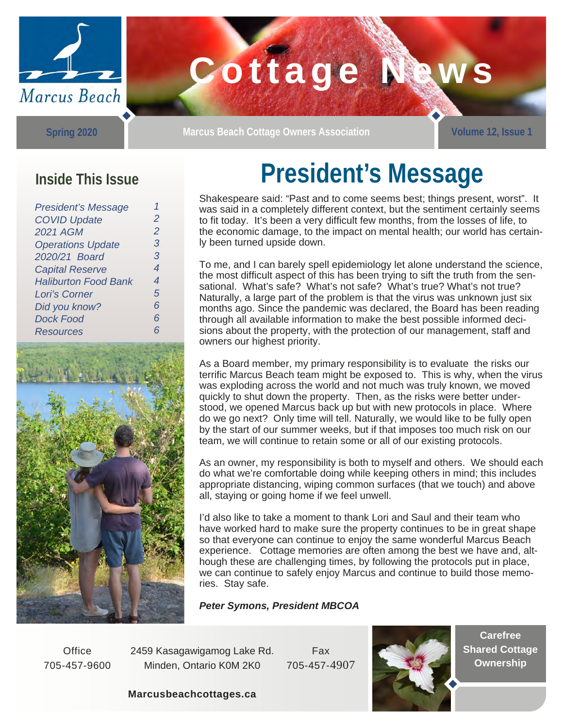

# Cottage Naw

**Spring 2020** 

**Marcus Beach Cottage Owners Association Volume 12, Issue 1** 

### **Inside This Issue**

| <b>President's Message</b>  |                |
|-----------------------------|----------------|
| <b>COVID Update</b>         | $\overline{2}$ |
| <b>2021 AGM</b>             | $\overline{2}$ |
| <b>Operations Update</b>    | З              |
| 2020/21 Board               | 3              |
| <b>Capital Reserve</b>      | 4              |
| <b>Haliburton Food Bank</b> | 4              |
| Lori's Corner               | 5              |
| Did you know?               | 6              |
| <b>Dock Food</b>            | 6              |
| <b>Resources</b>            | 6              |



## **President's Message**

Shakespeare said: "Past and to come seems best; things present, worst". It was said in a completely different context, but the sentiment certainly seems to fit today. It's been a very difficult few months, from the losses of life, to the economic damage, to the impact on mental health; our world has certainly been turned upside down.

To me, and I can barely spell epidemiology let alone understand the science, the most difficult aspect of this has been trying to sift the truth from the sensational. What's safe? What's not safe? What's true? What's not true? Naturally, a large part of the problem is that the virus was unknown just six months ago. Since the pandemic was declared, the Board has been reading through all available information to make the best possible informed decisions about the property, with the protection of our management, staff and owners our highest priority.

As a Board member, my primary responsibility is to evaluate the risks our terrific Marcus Beach team might be exposed to. This is why, when the virus was exploding across the world and not much was truly known, we moved quickly to shut down the property. Then, as the risks were better understood, we opened Marcus back up but with new protocols in place. Where do we go next? Only time will tell. Naturally, we would like to be fully open by the start of our summer weeks, but if that imposes too much risk on our team, we will continue to retain some or all of our existing protocols.

As an owner, my responsibility is both to myself and others. We should each do what we're comfortable doing while keeping others in mind; this includes appropriate distancing, wiping common surfaces (that we touch) and above all, staying or going home if we feel unwell.

I'd also like to take a moment to thank Lori and Saul and their team who have worked hard to make sure the property continues to be in great shape so that everyone can continue to enjoy the same wonderful Marcus Beach experience. Cottage memories are often among the best we have and, although these are challenging times, by following the protocols put in place, we can continue to safely enjoy Marcus and continue to build those memories. Stay safe.

*Peter Symons, President MBCOA* 

**Office** 705-457-9600 2459 Kasagawigamog Lake Rd. Minden, Ontario K0M 2K0

Fax 705-457-4907



**Carefree Shared Cottage Ownership** 

**Marcusbeachcottages.ca**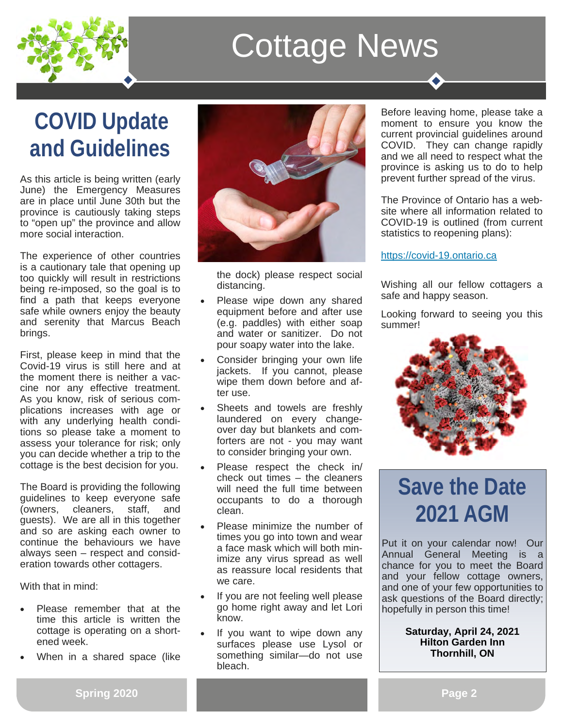

### **COVID Update and Guidelines**

As this article is being written (early June) the Emergency Measures are in place until June 30th but the province is cautiously taking steps to "open up" the province and allow more social interaction.

The experience of other countries is a cautionary tale that opening up too quickly will result in restrictions being re-imposed, so the goal is to find a path that keeps everyone safe while owners enjoy the beauty and serenity that Marcus Beach brings.

First, please keep in mind that the Covid-19 virus is still here and at the moment there is neither a vaccine nor any effective treatment. As you know, risk of serious complications increases with age or with any underlying health conditions so please take a moment to assess your tolerance for risk; only you can decide whether a trip to the cottage is the best decision for you.

The Board is providing the following guidelines to keep everyone safe (owners, cleaners, staff, and guests). We are all in this together and so are asking each owner to continue the behaviours we have always seen – respect and consideration towards other cottagers.

With that in mind:

- Please remember that at the time this article is written the cottage is operating on a shortened week.
- When in a shared space (like



the dock) please respect social distancing.

- Please wipe down any shared equipment before and after use (e.g. paddles) with either soap and water or sanitizer. Do not pour soapy water into the lake.
- Consider bringing your own life jackets. If you cannot, please wipe them down before and after use.
- Sheets and towels are freshly laundered on every changeover day but blankets and comforters are not - you may want to consider bringing your own.
- Please respect the check in/ check out times – the cleaners will need the full time between occupants to do a thorough clean.
- Please minimize the number of times you go into town and wear a face mask which will both minimize any virus spread as well as reassure local residents that we care.
- If you are not feeling well please go home right away and let Lori know.
- If you want to wipe down any surfaces please use Lysol or something similar—do not use bleach.

Before leaving home, please take a moment to ensure you know the current provincial guidelines around COVID. They can change rapidly and we all need to respect what the province is asking us to do to help prevent further spread of the virus.

The Province of Ontario has a website where all information related to COVID-19 is outlined (from current statistics to reopening plans):

### https://covid-19.ontario.ca

Wishing all our fellow cottagers a safe and happy season.

Looking forward to seeing you this summer!



### **Save the Date 2021 AGM**

Put it on your calendar now! Our Annual General Meeting is a chance for you to meet the Board and your fellow cottage owners, and one of your few opportunities to ask questions of the Board directly; hopefully in person this time!

### **Saturday, April 24, 2021 Hilton Garden Inn Thornhill, ON**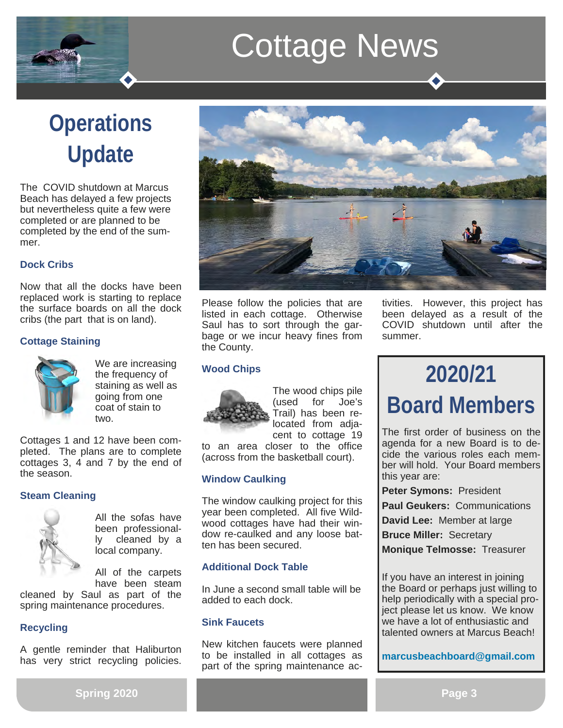## **Operations Update**

The COVID shutdown at Marcus Beach has delayed a few projects but nevertheless quite a few were completed or are planned to be completed by the end of the summer.

### **Dock Cribs**

Now that all the docks have been replaced work is starting to replace the surface boards on all the dock cribs (the part that is on land).

### **Cottage Staining**



We are increasing the frequency of staining as well as going from one coat of stain to two.

Cottages 1 and 12 have been completed. The plans are to complete cottages 3, 4 and 7 by the end of the season.

### **Steam Cleaning**



All the sofas have been professionally cleaned by a local company.

All of the carpets have been steam

cleaned by Saul as part of the spring maintenance procedures.

### **Recycling**

A gentle reminder that Haliburton has very strict recycling policies.



Please follow the policies that are listed in each cottage. Otherwise Saul has to sort through the garbage or we incur heavy fines from the County.

### **Wood Chips**



The wood chips pile (used for Joe's Trail) has been relocated from adjacent to cottage 19

to an area closer to the office (across from the basketball court).

### **Window Caulking**

The window caulking project for this year been completed. All five Wildwood cottages have had their window re-caulked and any loose batten has been secured.

### **Additional Dock Table**

In June a second small table will be added to each dock.

### **Sink Faucets**

New kitchen faucets were planned to be installed in all cottages as part of the spring maintenance ac-

tivities. However, this project has been delayed as a result of the COVID shutdown until after the summer.

## **2020/21 Board Members**

The first order of business on the agenda for a new Board is to decide the various roles each member will hold. Your Board members this year are:

**Peter Symons:** President

**Paul Geukers:** Communications

**David Lee:** Member at large

**Bruce Miller:** Secretary

**Monique Telmosse:** Treasurer

If you have an interest in joining the Board or perhaps just willing to help periodically with a special project please let us know. We know we have a lot of enthusiastic and talented owners at Marcus Beach!

**marcusbeachboard@gmail.com**

**Spring 2020**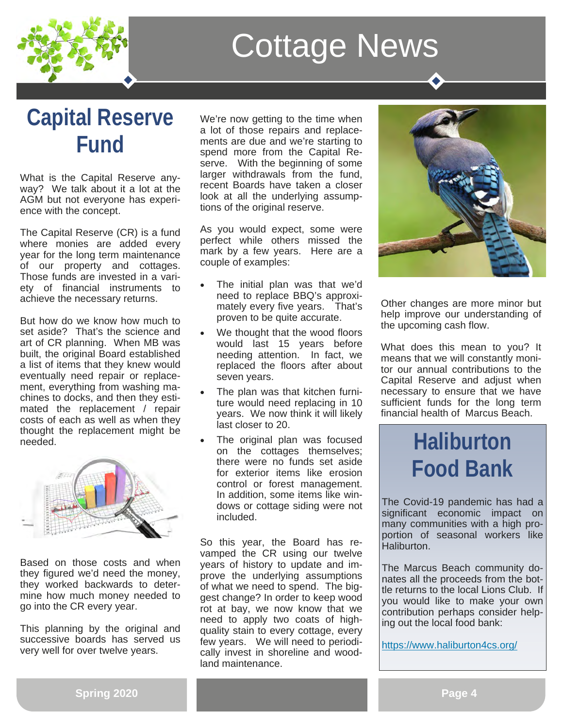

### **Capital Reserve Fund**

What is the Capital Reserve anyway? We talk about it a lot at the AGM but not everyone has experience with the concept.

The Capital Reserve (CR) is a fund where monies are added every year for the long term maintenance of our property and cottages. Those funds are invested in a variety of financial instruments to achieve the necessary returns.

But how do we know how much to set aside? That's the science and art of CR planning. When MB was built, the original Board established a list of items that they knew would eventually need repair or replacement, everything from washing machines to docks, and then they estimated the replacement / repair costs of each as well as when they thought the replacement might be needed.



Based on those costs and when they figured we'd need the money, they worked backwards to determine how much money needed to go into the CR every year.

This planning by the original and successive boards has served us very well for over twelve years.

We're now getting to the time when a lot of those repairs and replacements are due and we're starting to spend more from the Capital Reserve. With the beginning of some larger withdrawals from the fund, recent Boards have taken a closer look at all the underlying assumptions of the original reserve.

As you would expect, some were perfect while others missed the mark by a few years. Here are a couple of examples:

- The initial plan was that we'd need to replace BBQ's approximately every five years. That's proven to be quite accurate.
- We thought that the wood floors would last 15 years before needing attention. In fact, we replaced the floors after about seven years.
- The plan was that kitchen furniture would need replacing in 10 years. We now think it will likely last closer to 20.
- The original plan was focused on the cottages themselves; there were no funds set aside for exterior items like erosion control or forest management. In addition, some items like windows or cottage siding were not included.

So this year, the Board has revamped the CR using our twelve years of history to update and improve the underlying assumptions of what we need to spend. The biggest change? In order to keep wood rot at bay, we now know that we need to apply two coats of highquality stain to every cottage, every few years. We will need to periodically invest in shoreline and woodland maintenance.



Other changes are more minor but help improve our understanding of the upcoming cash flow.

What does this mean to you? It means that we will constantly monitor our annual contributions to the Capital Reserve and adjust when necessary to ensure that we have sufficient funds for the long term financial health of Marcus Beach.

### **Haliburton Food Bank**

The Covid-19 pandemic has had a significant economic impact on many communities with a high proportion of seasonal workers like Haliburton.

The Marcus Beach community donates all the proceeds from the bottle returns to the local Lions Club. If you would like to make your own contribution perhaps consider helping out the local food bank:

https://www.haliburton4cs.org/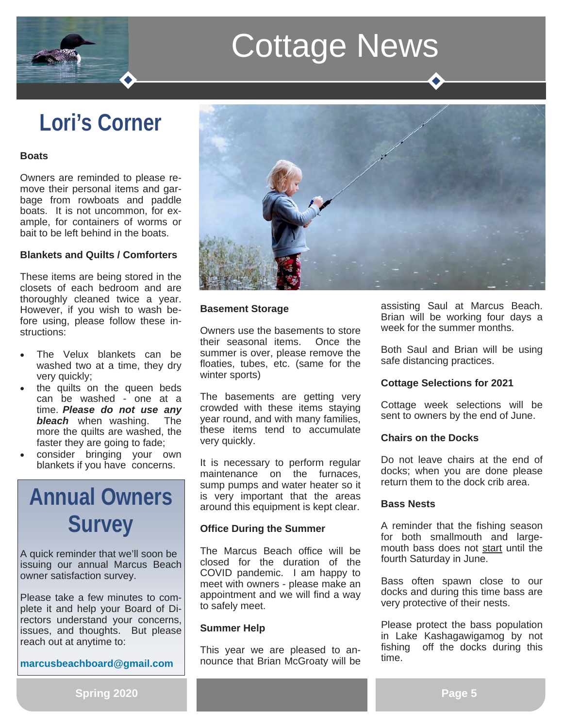### **Lori's Corner**

#### **Boats**

Owners are reminded to please remove their personal items and garbage from rowboats and paddle boats. It is not uncommon, for example, for containers of worms or bait to be left behind in the boats.

#### **Blankets and Quilts / Comforters**

These items are being stored in the closets of each bedroom and are thoroughly cleaned twice a year. However, if you wish to wash before using, please follow these instructions:

- The Velux blankets can be washed two at a time, they dry very quickly;
- the quilts on the queen beds can be washed - one at a time. *Please do not use any bleach* when washing. The more the quilts are washed, the faster they are going to fade;
- consider bringing your own blankets if you have concerns.

### **Annual Owners Survey**

A quick reminder that we'll soon be issuing our annual Marcus Beach owner satisfaction survey.

Please take a few minutes to complete it and help your Board of Directors understand your concerns, issues, and thoughts. But please reach out at anytime to:

**marcusbeachboard@gmail.com**



#### **Basement Storage**

Owners use the basements to store their seasonal items. Once the summer is over, please remove the floaties, tubes, etc. (same for the winter sports)

The basements are getting very crowded with these items staying year round, and with many families, these items tend to accumulate very quickly.

It is necessary to perform regular maintenance on the furnaces, sump pumps and water heater so it is very important that the areas around this equipment is kept clear.

#### **Office During the Summer**

The Marcus Beach office will be closed for the duration of the COVID pandemic. I am happy to meet with owners - please make an appointment and we will find a way to safely meet.

#### **Summer Help**

This year we are pleased to announce that Brian McGroaty will be assisting Saul at Marcus Beach. Brian will be working four days a week for the summer months.

Both Saul and Brian will be using safe distancing practices.

#### **Cottage Selections for 2021**

Cottage week selections will be sent to owners by the end of June.

#### **Chairs on the Docks**

Do not leave chairs at the end of docks; when you are done please return them to the dock crib area.

#### **Bass Nests**

A reminder that the fishing season for both smallmouth and largemouth bass does not start until the fourth Saturday in June.

Bass often spawn close to our docks and during this time bass are very protective of their nests.

Please protect the bass population in Lake Kashagawigamog by not fishing off the docks during this time.

**Spring 2020**